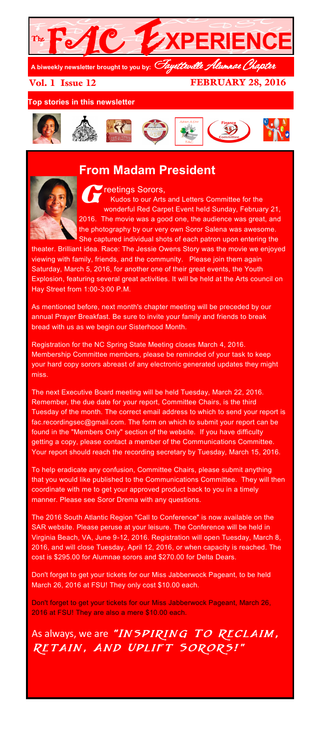

Vol. 1 Issue 12

FEBRUARY 28, 2016

**Top stories in this newsletter**



# **From Madam President**



#### **GET THE CONSENSITY CONSTRUCTED SOFTER** Kudos to our Arts and Letters Committee for the

wonderful Red Carpet Event held Sunday, February 21, 2016. The movie was a good one, the audience was great, and the photography by our very own Soror Salena was awesome. She captured individual shots of each patron upon entering the

theater. Brilliant idea. Race: The Jessie Owens Story was the movie we enjoyed viewing with family, friends, and the community. Please join them again Saturday, March 5, 2016, for another one of their great events, the Youth Explosion, featuring several great activities. It will be held at the Arts council on Hay Street from 1:00-3:00 P.M.

As mentioned before, next month's chapter meeting will be preceded by our annual Prayer Breakfast. Be sure to invite your family and friends to break bread with us as we begin our Sisterhood Month.

Registration for the NC Spring State Meeting closes March 4, 2016. Membership Committee members, please be reminded of your task to keep your hard copy sorors abreast of any electronic generated updates they might miss.

The next Executive Board meeting will be held Tuesday, March 22, 2016. Remember, the due date for your report, Committee Chairs, is the third Tuesday of the month. The correct email address to which to send your report is fac.recordingsec@gmail.com. The form on which to submit your report can be found in the "Members Only" section of the website. If you have difficulty getting a copy, please contact a member of the Communications Committee. Your report should reach the recording secretary by Tuesday, March 15, 2016.

To help eradicate any confusion, Committee Chairs, please submit anything that you would like published to the Communications Committee. They will then coordinate with me to get your approved product back to you in a timely manner. Please see Soror Drema with any questions.

The 2016 South Atlantic Region "Call to Conference" is now available on the SAR website. Please peruse at your leisure. The Conference will be held in Virginia Beach, VA, June 9-12, 2016. Registration will open Tuesday, March 8, 2016, and will close Tuesday, April 12, 2016, or when capacity is reached. The cost is \$295.00 for Alumnae sorors and \$270.00 for Delta Dears.

Don't forget to get your tickets for our Miss Jabberwock Pageant, to be held March 26, 2016 at FSU! They only cost \$10.00 each.

Don't forget to get your tickets for our Miss Jabberwock Pageant, March 26, 2016 at FSU! They are also a mere \$10.00 each.

As always, we are "INSPIRING TO RECLAIM, Retain, And Uplift Sorors!"